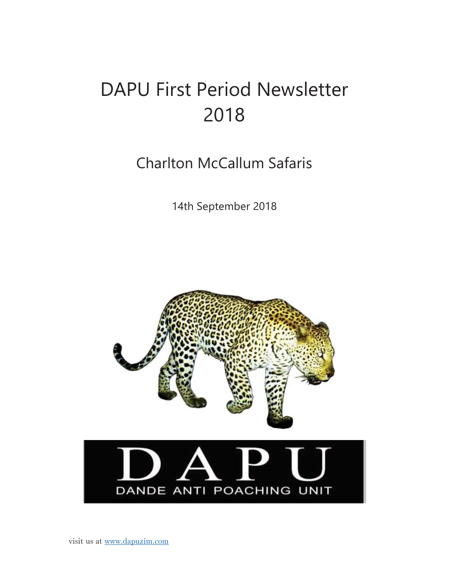# DAPU First Period Newsletter 2018

Charlton McCallum Safaris

14th September 2018



DANDE ANTI POACHING UNIT

visit us at www.dapuzim.com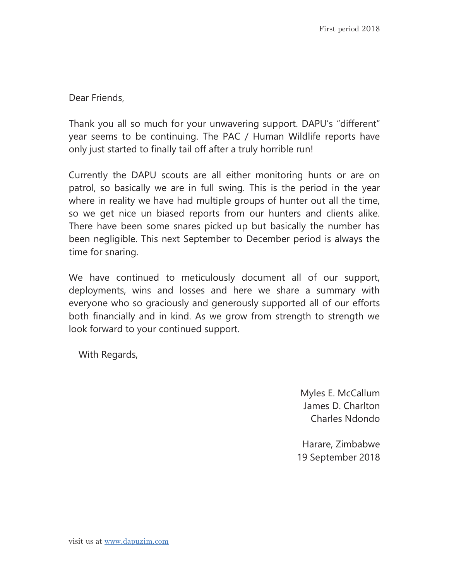Dear Friends,

Thank you all so much for your unwavering support. DAPU's "different" year seems to be continuing. The PAC / Human Wildlife reports have only just started to finally tail off after a truly horrible run!

Currently the DAPU scouts are all either monitoring hunts or are on patrol, so basically we are in full swing. This is the period in the year where in reality we have had multiple groups of hunter out all the time, so we get nice un biased reports from our hunters and clients alike. There have been some snares picked up but basically the number has been negligible. This next September to December period is always the time for snaring.

We have continued to meticulously document all of our support, deployments, wins and losses and here we share a summary with everyone who so graciously and generously supported all of our efforts both financially and in kind. As we grow from strength to strength we look forward to your continued support.

With Regards,

Myles E. McCallum James D. Charlton Charles Ndondo

Harare, Zimbabwe 19 September 2018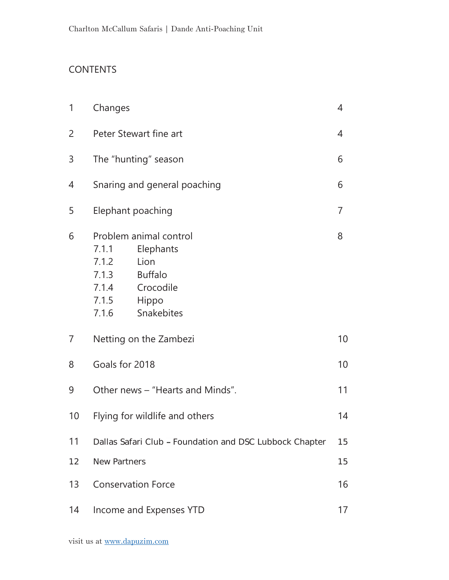## CONTENTS

| 1  | Changes                                                                                                                                                 |    |  |  |  |
|----|---------------------------------------------------------------------------------------------------------------------------------------------------------|----|--|--|--|
| 2  | Peter Stewart fine art                                                                                                                                  |    |  |  |  |
| 3  | The "hunting" season                                                                                                                                    |    |  |  |  |
| 4  | Snaring and general poaching                                                                                                                            | 6  |  |  |  |
| 5  | Elephant poaching                                                                                                                                       | 7  |  |  |  |
| 6  | Problem animal control<br>7.1.1<br>Elephants<br>Lion<br>7.1.2<br><b>Buffalo</b><br>7.1.3<br>Crocodile<br>7.1.4<br>7.1.5<br>Hippo<br>Snakebites<br>7.1.6 | 8  |  |  |  |
| 7  | Netting on the Zambezi                                                                                                                                  | 10 |  |  |  |
| 8  | Goals for 2018                                                                                                                                          |    |  |  |  |
| 9  | Other news – "Hearts and Minds".                                                                                                                        | 11 |  |  |  |
| 10 | Flying for wildlife and others                                                                                                                          |    |  |  |  |
| 11 | Dallas Safari Club - Foundation and DSC Lubbock Chapter                                                                                                 | 15 |  |  |  |
| 12 | <b>New Partners</b>                                                                                                                                     | 15 |  |  |  |
| 13 | <b>Conservation Force</b>                                                                                                                               |    |  |  |  |
| 14 | Income and Expenses YTD                                                                                                                                 |    |  |  |  |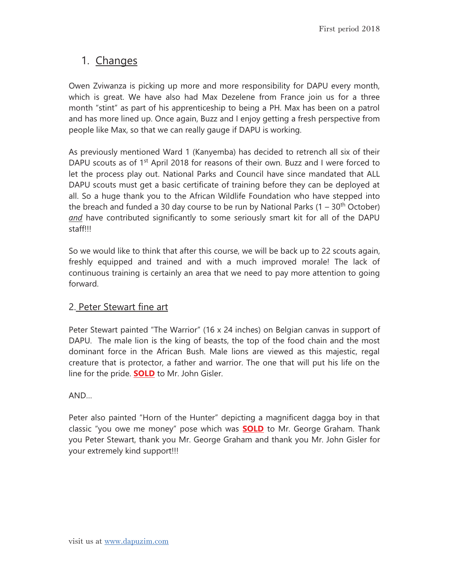## 1. Changes

Owen Zviwanza is picking up more and more responsibility for DAPU every month, which is great. We have also had Max Dezelene from France join us for a three month "stint" as part of his apprenticeship to being a PH. Max has been on a patrol and has more lined up. Once again, Buzz and I enjoy getting a fresh perspective from people like Max, so that we can really gauge if DAPU is working.

As previously mentioned Ward 1 (Kanyemba) has decided to retrench all six of their DAPU scouts as of 1<sup>st</sup> April 2018 for reasons of their own. Buzz and I were forced to let the process play out. National Parks and Council have since mandated that ALL DAPU scouts must get a basic certificate of training before they can be deployed at all. So a huge thank you to the African Wildlife Foundation who have stepped into the breach and funded a 30 day course to be run by National Parks  $(1 - 30<sup>th</sup> October)$ *and* have contributed significantly to some seriously smart kit for all of the DAPU staff!!!

So we would like to think that after this course, we will be back up to 22 scouts again, freshly equipped and trained and with a much improved morale! The lack of continuous training is certainly an area that we need to pay more attention to going forward.

#### 2. Peter Stewart fine art

Peter Stewart painted "The Warrior" (16 x 24 inches) on Belgian canvas in support of DAPU. The male lion is the king of beasts, the top of the food chain and the most dominant force in the African Bush. Male lions are viewed as this majestic, regal creature that is protector, a father and warrior. The one that will put his life on the line for the pride. **SOLD** to Mr. John Gisler.

AND…

Peter also painted "Horn of the Hunter" depicting a magnificent dagga boy in that classic "you owe me money" pose which was **SOLD** to Mr. George Graham. Thank you Peter Stewart, thank you Mr. George Graham and thank you Mr. John Gisler for your extremely kind support!!!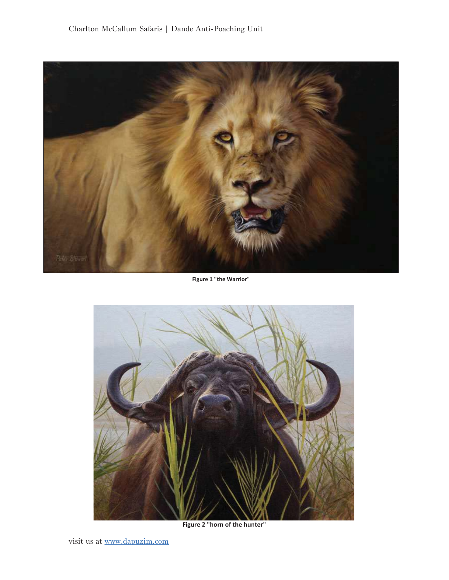

**Figure 1 "the Warrior"**



**Figure 2 "horn of the hunter"**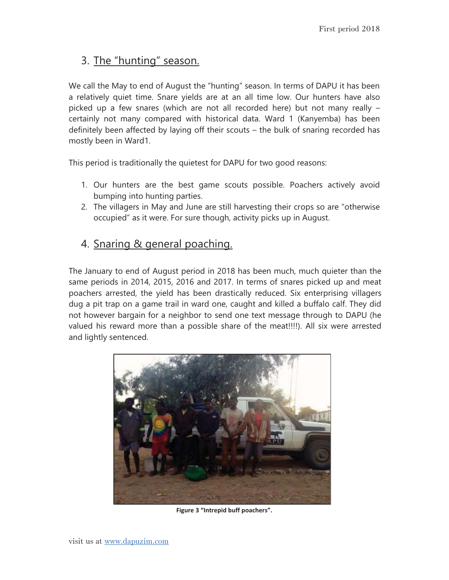## 3. The "hunting" season.

We call the May to end of August the "hunting" season. In terms of DAPU it has been a relatively quiet time. Snare yields are at an all time low. Our hunters have also picked up a few snares (which are not all recorded here) but not many really – certainly not many compared with historical data. Ward 1 (Kanyemba) has been definitely been affected by laying off their scouts – the bulk of snaring recorded has mostly been in Ward1.

This period is traditionally the quietest for DAPU for two good reasons:

- 1. Our hunters are the best game scouts possible. Poachers actively avoid bumping into hunting parties.
- 2. The villagers in May and June are still harvesting their crops so are "otherwise occupied" as it were. For sure though, activity picks up in August.

## 4. Snaring & general poaching.

The January to end of August period in 2018 has been much, much quieter than the same periods in 2014, 2015, 2016 and 2017. In terms of snares picked up and meat poachers arrested, the yield has been drastically reduced. Six enterprising villagers dug a pit trap on a game trail in ward one, caught and killed a buffalo calf. They did not however bargain for a neighbor to send one text message through to DAPU (he valued his reward more than a possible share of the meat!!!!). All six were arrested and lightly sentenced.



**Figure 3 "Intrepid buff poachers".**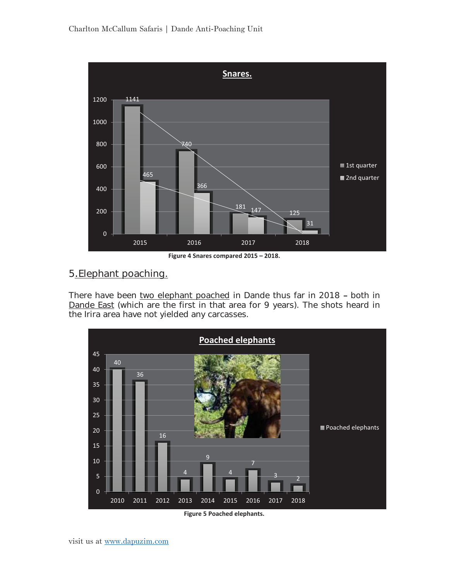

#### 5.Elephant poaching.

There have been two elephant poached in Dande thus far in 2018 - both in Dande East (which are the first in that area for 9 years). The shots heard in the Irira area have not yielded any carcasses.

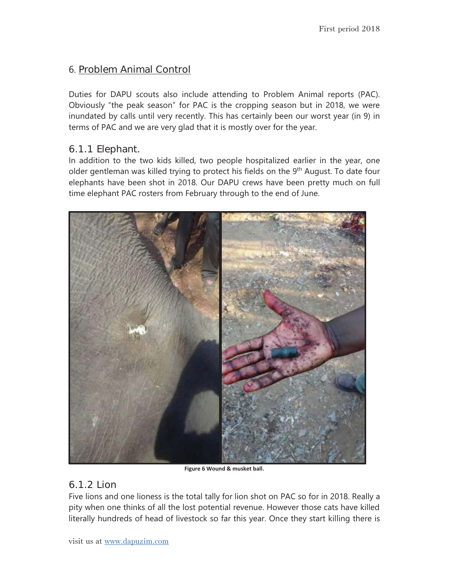## 6. Problem Animal Control

Duties for DAPU scouts also include attending to Problem Animal reports (PAC). Obviously "the peak season" for PAC is the cropping season but in 2018, we were inundated by calls until very recently. This has certainly been our worst year (in 9) in terms of PAC and we are very glad that it is mostly over for the year.

#### 6.1.1 Elephant.

In addition to the two kids killed, two people hospitalized earlier in the year, one older gentleman was killed trying to protect his fields on the 9<sup>th</sup> August. To date four elephants have been shot in 2018. Our DAPU crews have been pretty much on full time elephant PAC rosters from February through to the end of June.



**Figure 6 Wound & musket ball.**

#### 6.1.2Lion

Five lions and one lioness is the total tally for lion shot on PAC so for in 2018. Really a pity when one thinks of all the lost potential revenue. However those cats have killed literally hundreds of head of livestock so far this year. Once they start killing there is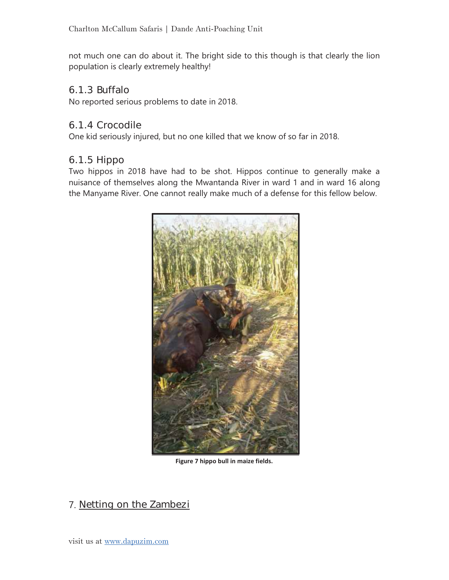not much one can do about it. The bright side to this though is that clearly the lion population is clearly extremely healthy!

#### 6.1.3Buffalo

No reported serious problems to date in 2018.

#### 6.1.4Crocodile

One kid seriously injured, but no one killed that we know of so far in 2018.

#### 6.1.5 Hippo

Two hippos in 2018 have had to be shot. Hippos continue to generally make a nuisance of themselves along the Mwantanda River in ward 1 and in ward 16 along the Manyame River. One cannot really make much of a defense for this fellow below.



**Figure 7 hippo bull in maize fields.**

## 7. Netting on the Zambezi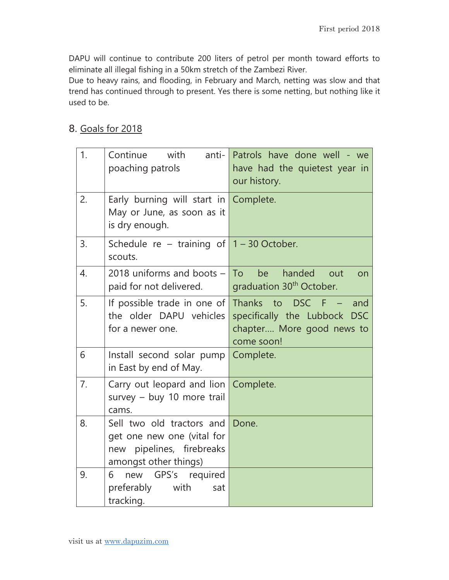DAPU will continue to contribute 200 liters of petrol per month toward efforts to eliminate all illegal fishing in a 50km stretch of the Zambezi River.

Due to heavy rains, and flooding, in February and March, netting was slow and that trend has continued through to present. Yes there is some netting, but nothing like it used to be.

#### 8. Goals for 2018

| 1.             | Continue<br>with<br>anti- $\ $<br>poaching patrols                                                            | Patrols have done well - we<br>have had the quietest year in<br>our history.                                   |
|----------------|---------------------------------------------------------------------------------------------------------------|----------------------------------------------------------------------------------------------------------------|
| 2.             | Early burning will start in Complete.<br>May or June, as soon as it<br>is dry enough.                         |                                                                                                                |
| 3.             | Schedule re – training of $1 - 30$ October.<br>scouts.                                                        |                                                                                                                |
| 4.             | 2018 uniforms and boots $-$<br>paid for not delivered.                                                        | To T<br>handed<br>be<br>out<br>on<br>graduation 30 <sup>th</sup> October.                                      |
| 5.             | If possible trade in one of<br>the older DAPU vehicles<br>for a newer one.                                    | Thanks to<br><b>DSC</b><br>F<br>and<br>specifically the Lubbock DSC<br>chapter More good news to<br>come soon! |
| 6              | Install second solar pump<br>in East by end of May.                                                           | Complete.                                                                                                      |
| 7 <sub>1</sub> | Carry out leopard and lion Complete.<br>survey $-$ buy 10 more trail<br>cams.                                 |                                                                                                                |
| 8.             | Sell two old tractors and<br>get one new one (vital for<br>new pipelines, firebreaks<br>amongst other things) | Done.                                                                                                          |
| 9.             | 6<br>new<br>GPS's<br>required<br>preferably<br>with<br>sat<br>tracking.                                       |                                                                                                                |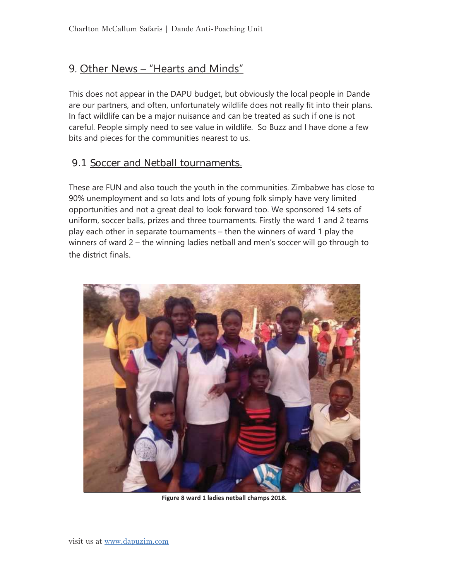## 9. Other News – "Hearts and Minds"

This does not appear in the DAPU budget, but obviously the local people in Dande are our partners, and often, unfortunately wildlife does not really fit into their plans. In fact wildlife can be a major nuisance and can be treated as such if one is not careful. People simply need to see value in wildlife. So Buzz and I have done a few bits and pieces for the communities nearest to us.

#### 9.1 Soccer and Netball tournaments.

These are FUN and also touch the youth in the communities. Zimbabwe has close to 90% unemployment and so lots and lots of young folk simply have very limited opportunities and not a great deal to look forward too. We sponsored 14 sets of uniform, soccer balls, prizes and three tournaments. Firstly the ward 1 and 2 teams play each other in separate tournaments – then the winners of ward 1 play the winners of ward 2 – the winning ladies netball and men's soccer will go through to the district finals.



**Figure 8 ward 1 ladies netball champs 2018.**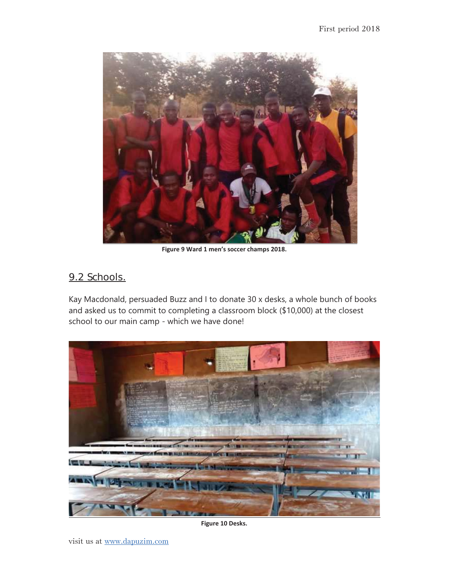

**Figure 9 Ward 1 men's soccer champs 2018.**

#### 9.2 Schools.

Kay Macdonald, persuaded Buzz and I to donate 30 x desks, a whole bunch of books and asked us to commit to completing a classroom block (\$10,000) at the closest school to our main camp - which we have done!



**Figure 10 Desks.**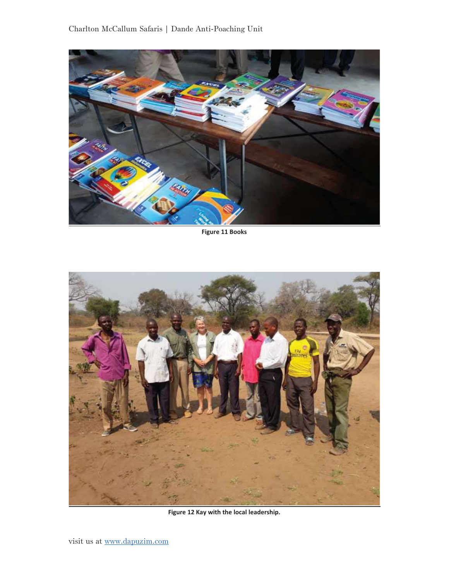

**Figure 11 Books**



**Figure 12 Kay with the local leadership.**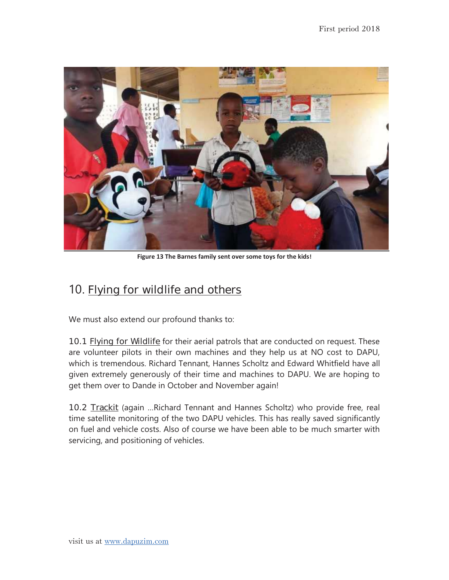

**Figure 13 The Barnes family sent over some toys for the kids!**

# 10. Flying for wildlife and others

We must also extend our profound thanks to:

10.1 Flying for Wildlife for their aerial patrols that are conducted on request. These are volunteer pilots in their own machines and they help us at NO cost to DAPU, which is tremendous. Richard Tennant, Hannes Scholtz and Edward Whitfield have all given extremely generously of their time and machines to DAPU. We are hoping to get them over to Dande in October and November again!

10.2 Trackit (again …Richard Tennant and Hannes Scholtz) who provide free, real time satellite monitoring of the two DAPU vehicles. This has really saved significantly on fuel and vehicle costs. Also of course we have been able to be much smarter with servicing, and positioning of vehicles.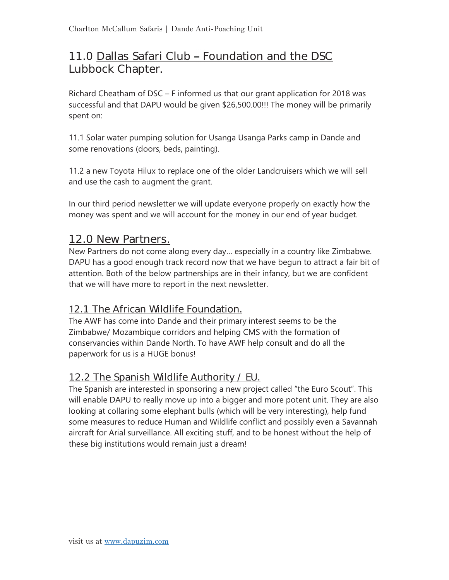## 11.0 Dallas Safari Club - Foundation and the DSC Lubbock Chapter.

Richard Cheatham of DSC – F informed us that our grant application for 2018 was successful and that DAPU would be given \$26,500.00!!! The money will be primarily spent on:

11.1 Solar water pumping solution for Usanga Usanga Parks camp in Dande and some renovations (doors, beds, painting).

11.2 a new Toyota Hilux to replace one of the older Landcruisers which we will sell and use the cash to augment the grant.

In our third period newsletter we will update everyone properly on exactly how the money was spent and we will account for the money in our end of year budget.

## 12.0 New Partners.

New Partners do not come along every day… especially in a country like Zimbabwe. DAPU has a good enough track record now that we have begun to attract a fair bit of attention. Both of the below partnerships are in their infancy, but we are confident that we will have more to report in the next newsletter.

## 12.1 The African Wildlife Foundation.

The AWF has come into Dande and their primary interest seems to be the Zimbabwe/ Mozambique corridors and helping CMS with the formation of conservancies within Dande North. To have AWF help consult and do all the paperwork for us is a HUGE bonus!

## 12.2 The Spanish Wildlife Authority / EU.

The Spanish are interested in sponsoring a new project called "the Euro Scout". This will enable DAPU to really move up into a bigger and more potent unit. They are also looking at collaring some elephant bulls (which will be very interesting), help fund some measures to reduce Human and Wildlife conflict and possibly even a Savannah aircraft for Arial surveillance. All exciting stuff, and to be honest without the help of these big institutions would remain just a dream!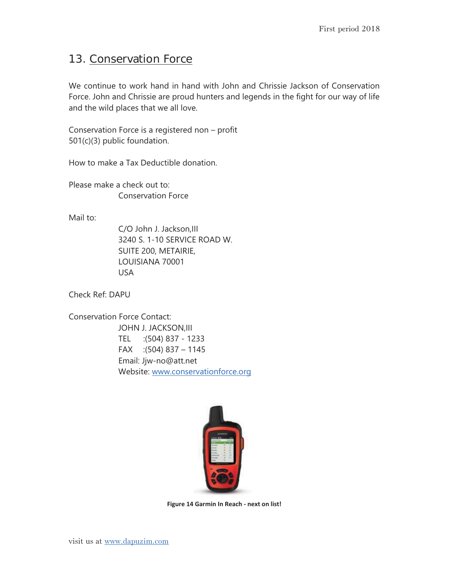## 13. Conservation Force

We continue to work hand in hand with John and Chrissie Jackson of Conservation Force. John and Chrissie are proud hunters and legends in the fight for our way of life and the wild places that we all love.

Conservation Force is a registered non – profit 501(c)(3) public foundation.

How to make a Tax Deductible donation.

Please make a check out to: Conservation Force

Mail to:

C/O John J. Jackson,III 3240 S. 1-10 SERVICE ROAD W. SUITE 200, METAIRIE, LOUISIANA 70001 USA

Check Ref: DAPU

Conservation Force Contact: JOHN J. JACKSON,III TEL :(504) 837 - 1233 FAX :(504) 837 – 1145 Email: Jjw-no@att.net Website: www.conservationforce.org



**Figure 14 Garmin In Reach - next on list!**